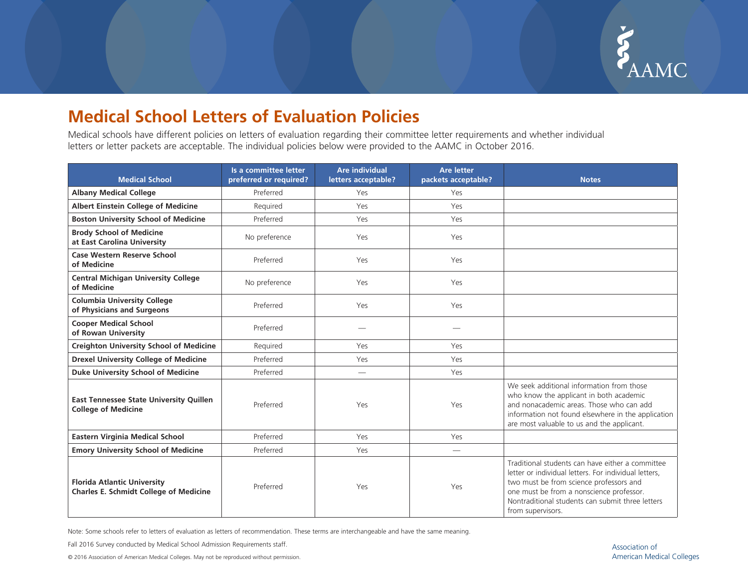

## **Medical School Letters of Evaluation Policies**

Medical schools have different policies on letters of evaluation regarding their committee letter requirements and whether individual letters or letter packets are acceptable. The individual policies below were provided to the AAMC in October 2016.

| <b>Medical School</b>                                                               | Is a committee letter<br>preferred or required? | <b>Are individual</b><br>letters acceptable? | <b>Are letter</b><br>packets acceptable? | <b>Notes</b>                                                                                                                                                                                                                                                              |
|-------------------------------------------------------------------------------------|-------------------------------------------------|----------------------------------------------|------------------------------------------|---------------------------------------------------------------------------------------------------------------------------------------------------------------------------------------------------------------------------------------------------------------------------|
| <b>Albany Medical College</b>                                                       | Preferred                                       | Yes                                          | Yes                                      |                                                                                                                                                                                                                                                                           |
| Albert Einstein College of Medicine                                                 | Required                                        | Yes                                          | Yes                                      |                                                                                                                                                                                                                                                                           |
| <b>Boston University School of Medicine</b>                                         | Preferred                                       | Yes                                          | Yes                                      |                                                                                                                                                                                                                                                                           |
| <b>Brody School of Medicine</b><br>at East Carolina University                      | No preference                                   | Yes                                          | Yes                                      |                                                                                                                                                                                                                                                                           |
| Case Western Reserve School<br>of Medicine                                          | Preferred                                       | Yes                                          | Yes                                      |                                                                                                                                                                                                                                                                           |
| <b>Central Michigan University College</b><br>of Medicine                           | No preference                                   | Yes                                          | Yes                                      |                                                                                                                                                                                                                                                                           |
| <b>Columbia University College</b><br>of Physicians and Surgeons                    | Preferred                                       | Yes                                          | Yes                                      |                                                                                                                                                                                                                                                                           |
| <b>Cooper Medical School</b><br>of Rowan University                                 | Preferred                                       |                                              |                                          |                                                                                                                                                                                                                                                                           |
| <b>Creighton University School of Medicine</b>                                      | Required                                        | Yes                                          | Yes                                      |                                                                                                                                                                                                                                                                           |
| <b>Drexel University College of Medicine</b>                                        | Preferred                                       | Yes                                          | Yes                                      |                                                                                                                                                                                                                                                                           |
| <b>Duke University School of Medicine</b>                                           | Preferred                                       |                                              | Yes                                      |                                                                                                                                                                                                                                                                           |
| <b>East Tennessee State University Quillen</b><br><b>College of Medicine</b>        | Preferred                                       | Yes                                          | Yes                                      | We seek additional information from those<br>who know the applicant in both academic<br>and nonacademic areas. Those who can add<br>information not found elsewhere in the application<br>are most valuable to us and the applicant.                                      |
| <b>Eastern Virginia Medical School</b>                                              | Preferred                                       | Yes                                          | Yes                                      |                                                                                                                                                                                                                                                                           |
| <b>Emory University School of Medicine</b>                                          | Preferred                                       | Yes                                          |                                          |                                                                                                                                                                                                                                                                           |
| <b>Florida Atlantic University</b><br><b>Charles E. Schmidt College of Medicine</b> | Preferred                                       | Yes                                          | Yes                                      | Traditional students can have either a committee<br>letter or individual letters. For individual letters,<br>two must be from science professors and<br>one must be from a nonscience professor.<br>Nontraditional students can submit three letters<br>from supervisors. |

Note: Some schools refer to letters of evaluation as letters of recommendation. These terms are interchangeable and have the same meaning.

Fall 2016 Survey conducted by Medical School Admission Requirements staff.

© 2016 Association of American Medical Colleges. May not be reproduced without permission.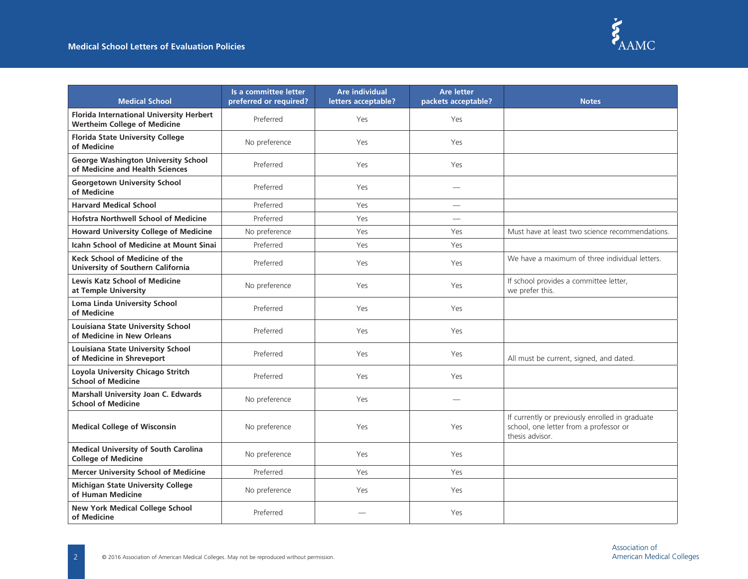

| <b>Medical School</b>                                                                  | Is a committee letter<br>preferred or required? | <b>Are individual</b><br>letters acceptable? | <b>Are letter</b><br>packets acceptable? | <b>Notes</b>                                                                                                 |
|----------------------------------------------------------------------------------------|-------------------------------------------------|----------------------------------------------|------------------------------------------|--------------------------------------------------------------------------------------------------------------|
| <b>Florida International University Herbert</b><br><b>Wertheim College of Medicine</b> | Preferred                                       | Yes                                          | Yes                                      |                                                                                                              |
| <b>Florida State University College</b><br>of Medicine                                 | No preference                                   | Yes                                          | Yes                                      |                                                                                                              |
| <b>George Washington University School</b><br>of Medicine and Health Sciences          | Preferred                                       | Yes                                          | Yes                                      |                                                                                                              |
| <b>Georgetown University School</b><br>of Medicine                                     | Preferred                                       | Yes                                          |                                          |                                                                                                              |
| <b>Harvard Medical School</b>                                                          | Preferred                                       | Yes                                          | $\overline{\phantom{0}}$                 |                                                                                                              |
| <b>Hofstra Northwell School of Medicine</b>                                            | Preferred                                       | Yes                                          |                                          |                                                                                                              |
| <b>Howard University College of Medicine</b>                                           | No preference                                   | Yes                                          | Yes                                      | Must have at least two science recommendations.                                                              |
| <b>Icahn School of Medicine at Mount Sinai</b>                                         | Preferred                                       | Yes                                          | Yes                                      |                                                                                                              |
| Keck School of Medicine of the<br>University of Southern California                    | Preferred                                       | Yes                                          | Yes                                      | We have a maximum of three individual letters.                                                               |
| <b>Lewis Katz School of Medicine</b><br>at Temple University                           | No preference                                   | Yes                                          | Yes                                      | If school provides a committee letter,<br>we prefer this.                                                    |
| <b>Loma Linda University School</b><br>of Medicine                                     | Preferred                                       | Yes                                          | Yes                                      |                                                                                                              |
| Louisiana State University School<br>of Medicine in New Orleans                        | Preferred                                       | Yes                                          | Yes                                      |                                                                                                              |
| Louisiana State University School<br>of Medicine in Shreveport                         | Preferred                                       | Yes                                          | Yes                                      | All must be current, signed, and dated.                                                                      |
| Loyola University Chicago Stritch<br><b>School of Medicine</b>                         | Preferred                                       | Yes                                          | Yes                                      |                                                                                                              |
| <b>Marshall University Joan C. Edwards</b><br><b>School of Medicine</b>                | No preference                                   | Yes                                          |                                          |                                                                                                              |
| <b>Medical College of Wisconsin</b>                                                    | No preference                                   | Yes                                          | Yes                                      | If currently or previously enrolled in graduate<br>school, one letter from a professor or<br>thesis advisor. |
| <b>Medical University of South Carolina</b><br><b>College of Medicine</b>              | No preference                                   | Yes                                          | Yes                                      |                                                                                                              |
| <b>Mercer University School of Medicine</b>                                            | Preferred                                       | Yes                                          | Yes                                      |                                                                                                              |
| <b>Michigan State University College</b><br>of Human Medicine                          | No preference                                   | Yes                                          | Yes                                      |                                                                                                              |
| <b>New York Medical College School</b><br>of Medicine                                  | Preferred                                       |                                              | Yes                                      |                                                                                                              |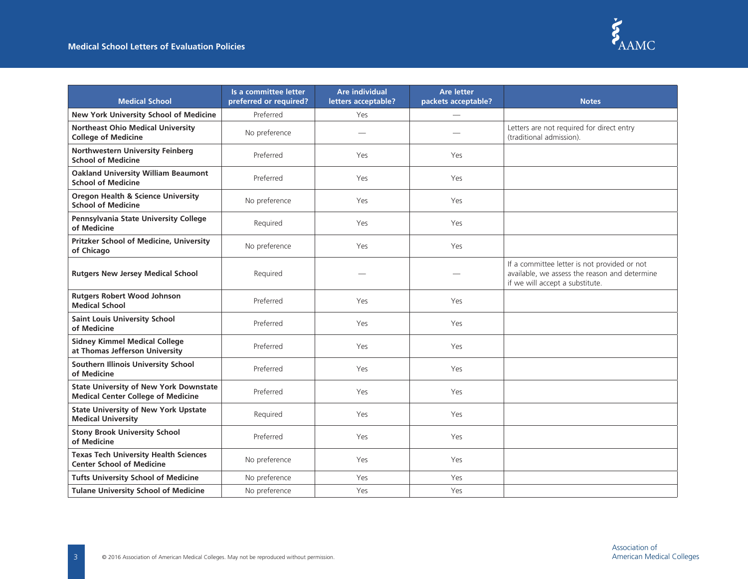

| <b>Medical School</b>                                                                      | Is a committee letter<br>preferred or required? | <b>Are individual</b><br>letters acceptable? | <b>Are letter</b><br>packets acceptable? | <b>Notes</b>                                                                                                                     |
|--------------------------------------------------------------------------------------------|-------------------------------------------------|----------------------------------------------|------------------------------------------|----------------------------------------------------------------------------------------------------------------------------------|
| New York University School of Medicine                                                     | Preferred                                       | Yes                                          |                                          |                                                                                                                                  |
| <b>Northeast Ohio Medical University</b><br><b>College of Medicine</b>                     | No preference                                   |                                              |                                          | Letters are not required for direct entry<br>(traditional admission).                                                            |
| Northwestern University Feinberg<br><b>School of Medicine</b>                              | Preferred                                       | Yes                                          | Yes                                      |                                                                                                                                  |
| <b>Oakland University William Beaumont</b><br><b>School of Medicine</b>                    | Preferred                                       | Yes                                          | Yes                                      |                                                                                                                                  |
| <b>Oregon Health &amp; Science University</b><br><b>School of Medicine</b>                 | No preference                                   | Yes                                          | Yes                                      |                                                                                                                                  |
| Pennsylvania State University College<br>of Medicine                                       | Required                                        | Yes                                          | Yes                                      |                                                                                                                                  |
| Pritzker School of Medicine, University<br>of Chicago                                      | No preference                                   | Yes                                          | Yes                                      |                                                                                                                                  |
| <b>Rutgers New Jersey Medical School</b>                                                   | Required                                        |                                              |                                          | If a committee letter is not provided or not<br>available, we assess the reason and determine<br>if we will accept a substitute. |
| <b>Rutgers Robert Wood Johnson</b><br><b>Medical School</b>                                | Preferred                                       | Yes                                          | Yes                                      |                                                                                                                                  |
| <b>Saint Louis University School</b><br>of Medicine                                        | Preferred                                       | Yes                                          | Yes                                      |                                                                                                                                  |
| <b>Sidney Kimmel Medical College</b><br>at Thomas Jefferson University                     | Preferred                                       | Yes                                          | Yes                                      |                                                                                                                                  |
| Southern Illinois University School<br>of Medicine                                         | Preferred                                       | Yes                                          | Yes                                      |                                                                                                                                  |
| <b>State University of New York Downstate</b><br><b>Medical Center College of Medicine</b> | Preferred                                       | Yes                                          | Yes                                      |                                                                                                                                  |
| <b>State University of New York Upstate</b><br><b>Medical University</b>                   | Required                                        | Yes                                          | Yes                                      |                                                                                                                                  |
| <b>Stony Brook University School</b><br>of Medicine                                        | Preferred                                       | Yes                                          | Yes                                      |                                                                                                                                  |
| <b>Texas Tech University Health Sciences</b><br><b>Center School of Medicine</b>           | No preference                                   | Yes                                          | Yes                                      |                                                                                                                                  |
| <b>Tufts University School of Medicine</b>                                                 | No preference                                   | Yes                                          | Yes                                      |                                                                                                                                  |
| <b>Tulane University School of Medicine</b>                                                | No preference                                   | Yes                                          | Yes                                      |                                                                                                                                  |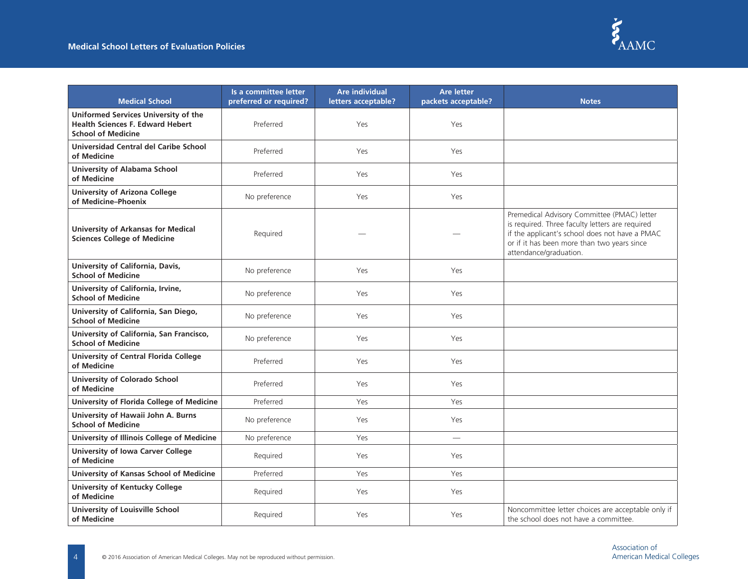

| <b>Medical School</b>                                                                                        | Is a committee letter<br>preferred or required? | <b>Are individual</b><br>letters acceptable? | <b>Are letter</b><br>packets acceptable? | <b>Notes</b>                                                                                                                                                                                                              |
|--------------------------------------------------------------------------------------------------------------|-------------------------------------------------|----------------------------------------------|------------------------------------------|---------------------------------------------------------------------------------------------------------------------------------------------------------------------------------------------------------------------------|
| Uniformed Services University of the<br><b>Health Sciences F. Edward Hebert</b><br><b>School of Medicine</b> | Preferred                                       | Yes                                          | Yes                                      |                                                                                                                                                                                                                           |
| Universidad Central del Caribe School<br>of Medicine                                                         | Preferred                                       | Yes                                          | Yes                                      |                                                                                                                                                                                                                           |
| <b>University of Alabama School</b><br>of Medicine                                                           | Preferred                                       | Yes                                          | Yes                                      |                                                                                                                                                                                                                           |
| <b>University of Arizona College</b><br>of Medicine-Phoenix                                                  | No preference                                   | Yes                                          | Yes                                      |                                                                                                                                                                                                                           |
| <b>University of Arkansas for Medical</b><br><b>Sciences College of Medicine</b>                             | Required                                        |                                              |                                          | Premedical Advisory Committee (PMAC) letter<br>is required. Three faculty letters are required<br>if the applicant's school does not have a PMAC<br>or if it has been more than two years since<br>attendance/graduation. |
| University of California, Davis,<br><b>School of Medicine</b>                                                | No preference                                   | Yes                                          | Yes                                      |                                                                                                                                                                                                                           |
| University of California, Irvine,<br><b>School of Medicine</b>                                               | No preference                                   | Yes                                          | Yes                                      |                                                                                                                                                                                                                           |
| University of California, San Diego,<br><b>School of Medicine</b>                                            | No preference                                   | Yes                                          | Yes                                      |                                                                                                                                                                                                                           |
| University of California, San Francisco,<br><b>School of Medicine</b>                                        | No preference                                   | Yes                                          | Yes                                      |                                                                                                                                                                                                                           |
| <b>University of Central Florida College</b><br>of Medicine                                                  | Preferred                                       | Yes                                          | Yes                                      |                                                                                                                                                                                                                           |
| <b>University of Colorado School</b><br>of Medicine                                                          | Preferred                                       | Yes                                          | Yes                                      |                                                                                                                                                                                                                           |
| University of Florida College of Medicine                                                                    | Preferred                                       | Yes                                          | Yes                                      |                                                                                                                                                                                                                           |
| University of Hawaii John A. Burns<br><b>School of Medicine</b>                                              | No preference                                   | Yes                                          | Yes                                      |                                                                                                                                                                                                                           |
| University of Illinois College of Medicine                                                                   | No preference                                   | Yes                                          |                                          |                                                                                                                                                                                                                           |
| <b>University of Iowa Carver College</b><br>of Medicine                                                      | Required                                        | Yes                                          | Yes                                      |                                                                                                                                                                                                                           |
| University of Kansas School of Medicine                                                                      | Preferred                                       | Yes                                          | Yes                                      |                                                                                                                                                                                                                           |
| <b>University of Kentucky College</b><br>of Medicine                                                         | Required                                        | Yes                                          | Yes                                      |                                                                                                                                                                                                                           |
| University of Louisville School<br>of Medicine                                                               | Required                                        | Yes                                          | Yes                                      | Noncommittee letter choices are acceptable only if<br>the school does not have a committee.                                                                                                                               |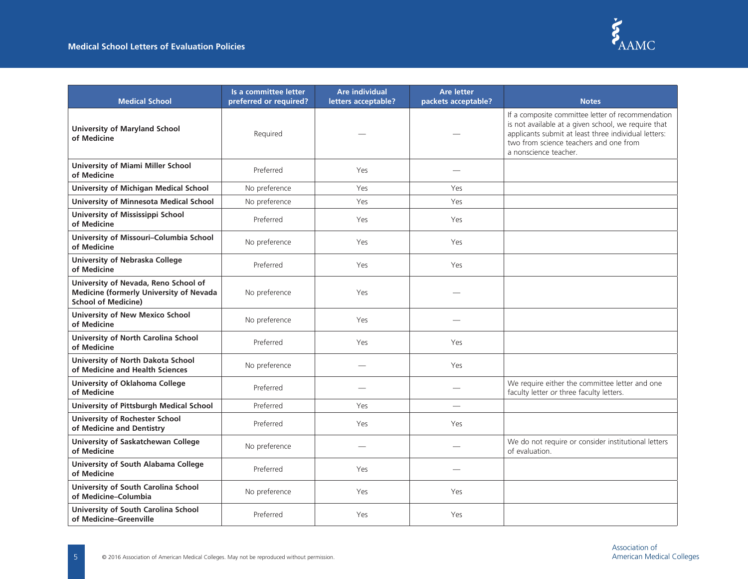

| <b>Medical School</b>                                                                                                | Is a committee letter<br>preferred or required? | <b>Are individual</b><br>letters acceptable? | <b>Are letter</b><br>packets acceptable? | <b>Notes</b>                                                                                                                                                                                                                        |
|----------------------------------------------------------------------------------------------------------------------|-------------------------------------------------|----------------------------------------------|------------------------------------------|-------------------------------------------------------------------------------------------------------------------------------------------------------------------------------------------------------------------------------------|
| <b>University of Maryland School</b><br>of Medicine                                                                  | Required                                        |                                              |                                          | If a composite committee letter of recommendation<br>is not available at a given school, we require that<br>applicants submit at least three individual letters:<br>two from science teachers and one from<br>a nonscience teacher. |
| <b>University of Miami Miller School</b><br>of Medicine                                                              | Preferred                                       | Yes                                          |                                          |                                                                                                                                                                                                                                     |
| <b>University of Michigan Medical School</b>                                                                         | No preference                                   | Yes                                          | Yes                                      |                                                                                                                                                                                                                                     |
| <b>University of Minnesota Medical School</b>                                                                        | No preference                                   | Yes                                          | Yes                                      |                                                                                                                                                                                                                                     |
| University of Mississippi School<br>of Medicine                                                                      | Preferred                                       | Yes                                          | Yes                                      |                                                                                                                                                                                                                                     |
| University of Missouri-Columbia School<br>of Medicine                                                                | No preference                                   | Yes                                          | Yes                                      |                                                                                                                                                                                                                                     |
| <b>University of Nebraska College</b><br>of Medicine                                                                 | Preferred                                       | Yes                                          | Yes                                      |                                                                                                                                                                                                                                     |
| University of Nevada, Reno School of<br><b>Medicine (formerly University of Nevada</b><br><b>School of Medicine)</b> | No preference                                   | Yes                                          |                                          |                                                                                                                                                                                                                                     |
| <b>University of New Mexico School</b><br>of Medicine                                                                | No preference                                   | Yes                                          |                                          |                                                                                                                                                                                                                                     |
| University of North Carolina School<br>of Medicine                                                                   | Preferred                                       | Yes                                          | Yes                                      |                                                                                                                                                                                                                                     |
| University of North Dakota School<br>of Medicine and Health Sciences                                                 | No preference                                   |                                              | Yes                                      |                                                                                                                                                                                                                                     |
| University of Oklahoma College<br>of Medicine                                                                        | Preferred                                       |                                              |                                          | We require either the committee letter and one<br>faculty letter or three faculty letters.                                                                                                                                          |
| University of Pittsburgh Medical School                                                                              | Preferred                                       | Yes                                          | $\overline{\phantom{0}}$                 |                                                                                                                                                                                                                                     |
| <b>University of Rochester School</b><br>of Medicine and Dentistry                                                   | Preferred                                       | Yes                                          | Yes                                      |                                                                                                                                                                                                                                     |
| University of Saskatchewan College<br>of Medicine                                                                    | No preference                                   |                                              |                                          | We do not require or consider institutional letters<br>of evaluation.                                                                                                                                                               |
| University of South Alabama College<br>of Medicine                                                                   | Preferred                                       | Yes                                          |                                          |                                                                                                                                                                                                                                     |
| University of South Carolina School<br>of Medicine-Columbia                                                          | No preference                                   | Yes                                          | Yes                                      |                                                                                                                                                                                                                                     |
| University of South Carolina School<br>of Medicine-Greenville                                                        | Preferred                                       | Yes                                          | Yes                                      |                                                                                                                                                                                                                                     |